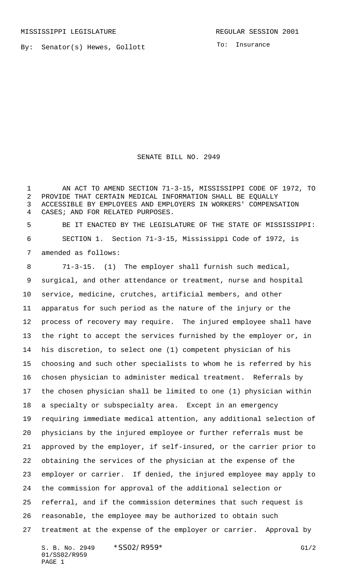By: Senator(s) Hewes, Gollott

To: Insurance

SENATE BILL NO. 2949

 AN ACT TO AMEND SECTION 71-3-15, MISSISSIPPI CODE OF 1972, TO PROVIDE THAT CERTAIN MEDICAL INFORMATION SHALL BE EQUALLY ACCESSIBLE BY EMPLOYEES AND EMPLOYERS IN WORKERS' COMPENSATION CASES; AND FOR RELATED PURPOSES.

 BE IT ENACTED BY THE LEGISLATURE OF THE STATE OF MISSISSIPPI: SECTION 1. Section 71-3-15, Mississippi Code of 1972, is amended as follows:

 71-3-15. (1) The employer shall furnish such medical, surgical, and other attendance or treatment, nurse and hospital service, medicine, crutches, artificial members, and other apparatus for such period as the nature of the injury or the process of recovery may require. The injured employee shall have the right to accept the services furnished by the employer or, in his discretion, to select one (1) competent physician of his choosing and such other specialists to whom he is referred by his chosen physician to administer medical treatment. Referrals by the chosen physician shall be limited to one (1) physician within a specialty or subspecialty area. Except in an emergency requiring immediate medical attention, any additional selection of physicians by the injured employee or further referrals must be approved by the employer, if self-insured, or the carrier prior to obtaining the services of the physician at the expense of the employer or carrier. If denied, the injured employee may apply to the commission for approval of the additional selection or referral, and if the commission determines that such request is reasonable, the employee may be authorized to obtain such treatment at the expense of the employer or carrier. Approval by

S. B. No. 2949 \* SSO2/R959\* G1/2 01/SS02/R959 PAGE 1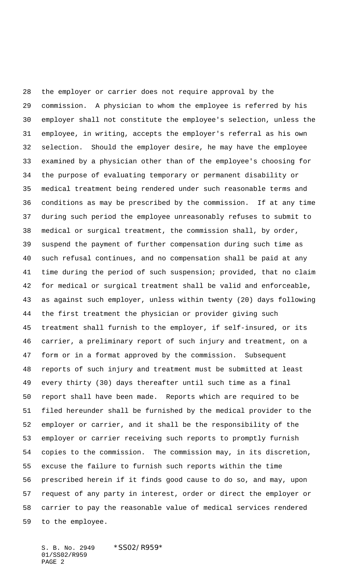the employer or carrier does not require approval by the commission. A physician to whom the employee is referred by his employer shall not constitute the employee's selection, unless the employee, in writing, accepts the employer's referral as his own selection. Should the employer desire, he may have the employee examined by a physician other than of the employee's choosing for the purpose of evaluating temporary or permanent disability or medical treatment being rendered under such reasonable terms and conditions as may be prescribed by the commission. If at any time during such period the employee unreasonably refuses to submit to medical or surgical treatment, the commission shall, by order, suspend the payment of further compensation during such time as such refusal continues, and no compensation shall be paid at any time during the period of such suspension; provided, that no claim for medical or surgical treatment shall be valid and enforceable, as against such employer, unless within twenty (20) days following the first treatment the physician or provider giving such treatment shall furnish to the employer, if self-insured, or its carrier, a preliminary report of such injury and treatment, on a form or in a format approved by the commission. Subsequent reports of such injury and treatment must be submitted at least every thirty (30) days thereafter until such time as a final report shall have been made. Reports which are required to be filed hereunder shall be furnished by the medical provider to the employer or carrier, and it shall be the responsibility of the employer or carrier receiving such reports to promptly furnish copies to the commission. The commission may, in its discretion, excuse the failure to furnish such reports within the time prescribed herein if it finds good cause to do so, and may, upon request of any party in interest, order or direct the employer or carrier to pay the reasonable value of medical services rendered to the employee.

S. B. No. 2949 \* SS02/R959\* 01/SS02/R959 PAGE 2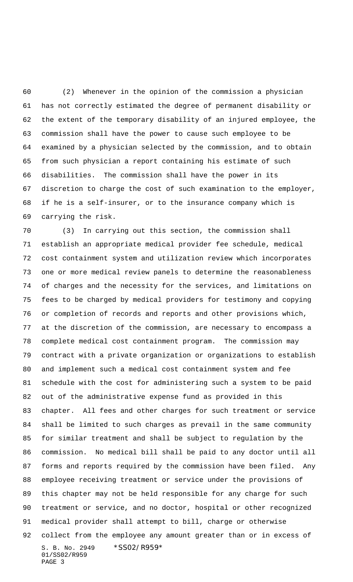(2) Whenever in the opinion of the commission a physician has not correctly estimated the degree of permanent disability or the extent of the temporary disability of an injured employee, the commission shall have the power to cause such employee to be examined by a physician selected by the commission, and to obtain from such physician a report containing his estimate of such disabilities. The commission shall have the power in its discretion to charge the cost of such examination to the employer, if he is a self-insurer, or to the insurance company which is carrying the risk.

S. B. No. 2949 \* SS02/R959\* 01/SS02/R959 PAGE 3 (3) In carrying out this section, the commission shall establish an appropriate medical provider fee schedule, medical cost containment system and utilization review which incorporates one or more medical review panels to determine the reasonableness of charges and the necessity for the services, and limitations on fees to be charged by medical providers for testimony and copying or completion of records and reports and other provisions which, at the discretion of the commission, are necessary to encompass a complete medical cost containment program. The commission may contract with a private organization or organizations to establish and implement such a medical cost containment system and fee schedule with the cost for administering such a system to be paid out of the administrative expense fund as provided in this chapter. All fees and other charges for such treatment or service shall be limited to such charges as prevail in the same community for similar treatment and shall be subject to regulation by the commission. No medical bill shall be paid to any doctor until all forms and reports required by the commission have been filed. Any employee receiving treatment or service under the provisions of this chapter may not be held responsible for any charge for such treatment or service, and no doctor, hospital or other recognized medical provider shall attempt to bill, charge or otherwise collect from the employee any amount greater than or in excess of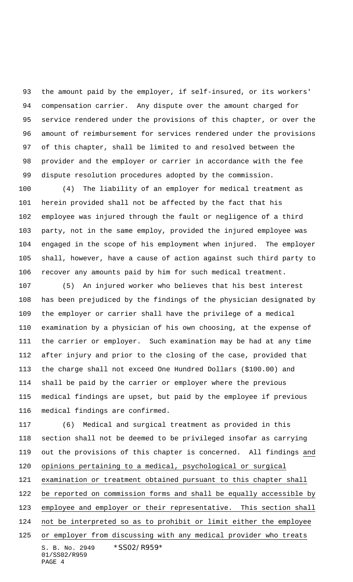the amount paid by the employer, if self-insured, or its workers' compensation carrier. Any dispute over the amount charged for service rendered under the provisions of this chapter, or over the amount of reimbursement for services rendered under the provisions of this chapter, shall be limited to and resolved between the provider and the employer or carrier in accordance with the fee dispute resolution procedures adopted by the commission.

 (4) The liability of an employer for medical treatment as herein provided shall not be affected by the fact that his employee was injured through the fault or negligence of a third party, not in the same employ, provided the injured employee was engaged in the scope of his employment when injured. The employer shall, however, have a cause of action against such third party to recover any amounts paid by him for such medical treatment.

 (5) An injured worker who believes that his best interest has been prejudiced by the findings of the physician designated by the employer or carrier shall have the privilege of a medical examination by a physician of his own choosing, at the expense of the carrier or employer. Such examination may be had at any time after injury and prior to the closing of the case, provided that the charge shall not exceed One Hundred Dollars (\$100.00) and shall be paid by the carrier or employer where the previous medical findings are upset, but paid by the employee if previous medical findings are confirmed.

S. B. No. 2949 \* SS02/R959\* 01/SS02/R959 PAGE 4 (6) Medical and surgical treatment as provided in this section shall not be deemed to be privileged insofar as carrying out the provisions of this chapter is concerned. All findings and opinions pertaining to a medical, psychological or surgical examination or treatment obtained pursuant to this chapter shall be reported on commission forms and shall be equally accessible by employee and employer or their representative. This section shall not be interpreted so as to prohibit or limit either the employee or employer from discussing with any medical provider who treats